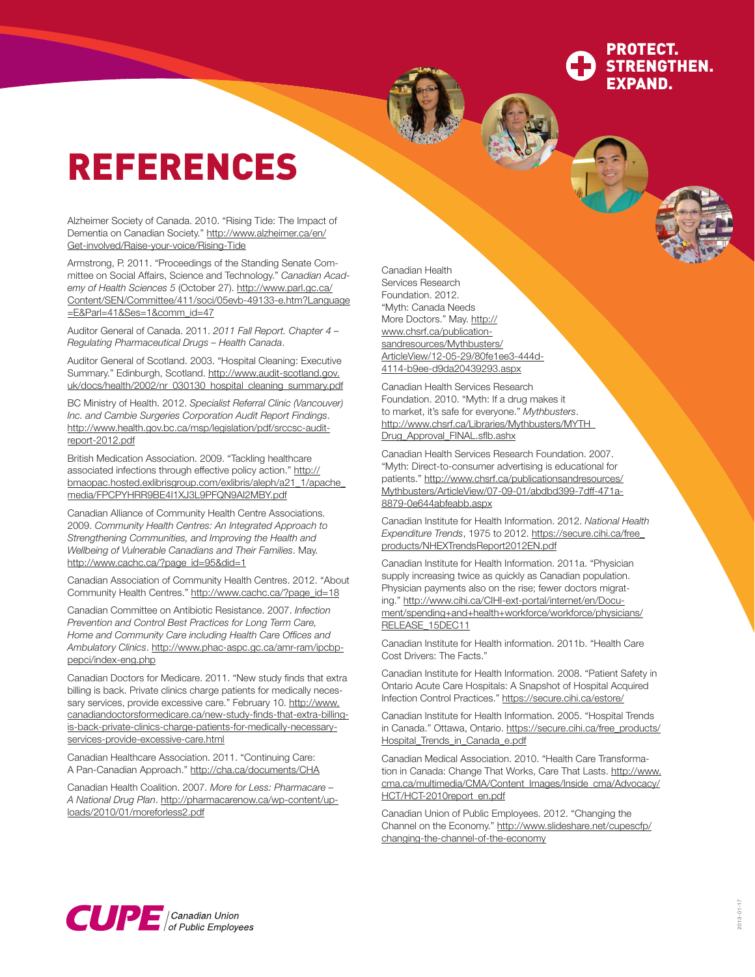## PROTECT. STRENGTHEN. EXPAND.

## REFERENCES

Alzheimer Society of Canada. 2010. "Rising Tide: The Impact of Dementia on Canadian Society." [http://www.alzheimer.ca/en/](http://www.alzheimer.ca/en/ Get-involved/Raise-your-voice/Rising-Tide) [Get-involved/Raise-your-voice/Rising-Tide](http://www.alzheimer.ca/en/ Get-involved/Raise-your-voice/Rising-Tide)

Armstrong, P. 2011. "Proceedings of the Standing Senate Committee on Social Affairs, Science and Technology." *Canadian Academy of Health Sciences 5* (October 27). [http://www.parl.gc.ca/](http://www.parl.gc.ca/Content/SEN/Committee/411/soci/05evb-49133-e.htm?Language=E&Parl=41&Ses=1&comm_id=47) [Content/SEN/Committee/411/soci/05evb-49133-e.htm?Language](http://www.parl.gc.ca/Content/SEN/Committee/411/soci/05evb-49133-e.htm?Language=E&Parl=41&Ses=1&comm_id=47) [=E&Parl=41&Ses=1&comm\\_id=47](http://www.parl.gc.ca/Content/SEN/Committee/411/soci/05evb-49133-e.htm?Language=E&Parl=41&Ses=1&comm_id=47)

Auditor General of Canada. 2011. *2011 Fall Report. Chapter 4 – Regulating Pharmaceutical Drugs – Health Canada*.

Auditor General of Scotland. 2003. "Hospital Cleaning: Executive Summary." Edinburgh, Scotland. [http://www.audit-scotland.gov.](http://www.audit-scotland.gov.uk/docs/health/2002/nr_030130_hospital_cleaning_summary.pdf) [uk/docs/health/2002/nr\\_030130\\_hospital\\_cleaning\\_summary.pdf](http://www.audit-scotland.gov.uk/docs/health/2002/nr_030130_hospital_cleaning_summary.pdf)

BC Ministry of Health. 2012. *Specialist Referral Clinic (Vancouver) Inc. and Cambie Surgeries Corporation Audit Report Findings*. [http://www.health.gov.bc.ca/msp/legislation/pdf/srccsc-audit](http://www.health.gov.bc.ca/msp/legislation/pdf/srccsc-audit-report-2012.pdf)[report-2012.pdf](http://www.health.gov.bc.ca/msp/legislation/pdf/srccsc-audit-report-2012.pdf)

British Medication Association. 2009. "Tackling healthcare associated infections through effective policy action." [http://](http://bmaopac.hosted.exlibrisgroup.com/exlibris/aleph/a21_1/apache_media/FPCPYHRR9BE4I1XJ3L9PFQN9AI2MBY.pdf) [bmaopac.hosted.exlibrisgroup.com/exlibris/aleph/a21\\_1/apache\\_](http://bmaopac.hosted.exlibrisgroup.com/exlibris/aleph/a21_1/apache_media/FPCPYHRR9BE4I1XJ3L9PFQN9AI2MBY.pdf) [media/FPCPYHRR9BE4I1XJ3L9PFQN9AI2MBY.pdf](http://bmaopac.hosted.exlibrisgroup.com/exlibris/aleph/a21_1/apache_media/FPCPYHRR9BE4I1XJ3L9PFQN9AI2MBY.pdf)

Canadian Alliance of Community Health Centre Associations. 2009. *Community Health Centres: An Integrated Approach to Strengthening Communities, and Improving the Health and Wellbeing of Vulnerable Canadians and Their Families*. May. [http://www.cachc.ca/?page\\_id=95&did=1](http://www.cachc.ca/?page_id=95&did=1)

Canadian Association of Community Health Centres. 2012. "About Community Health Centres." [http://www.cachc.ca/?page\\_id=18](http://www.cachc.ca/?page_id=18)

Canadian Committee on Antibiotic Resistance. 2007. *Infection Prevention and Control Best Practices for Long Term Care, Home and Community Care including Health Care Offices and Ambulatory Clinics*. [http://www.phac-aspc.gc.ca/amr-ram/ipcbp](http://www.phac-aspc.gc.ca/amr-ram/ipcbp-pepci/index-eng.php)[pepci/index-eng.php](http://www.phac-aspc.gc.ca/amr-ram/ipcbp-pepci/index-eng.php)

Canadian Doctors for Medicare. 2011. "New study finds that extra billing is back. Private clinics charge patients for medically necessary services, provide excessive care." February 10. [http://www.](http://www.canadiandoctorsformedicare.ca/new-study-finds-that-extra-billing-is-back-private-clinics-charge-patients-for-medically-necessary-services-provide-excessive-care.html) [canadiandoctorsformedicare.ca/new-study-finds-that-extra-billing](http://www.canadiandoctorsformedicare.ca/new-study-finds-that-extra-billing-is-back-private-clinics-charge-patients-for-medically-necessary-services-provide-excessive-care.html)[is-back-private-clinics-charge-patients-for-medically-necessary](http://www.canadiandoctorsformedicare.ca/new-study-finds-that-extra-billing-is-back-private-clinics-charge-patients-for-medically-necessary-services-provide-excessive-care.html)[services-provide-excessive-care.html](http://www.canadiandoctorsformedicare.ca/new-study-finds-that-extra-billing-is-back-private-clinics-charge-patients-for-medically-necessary-services-provide-excessive-care.html)

Canadian Healthcare Association. 2011. "Continuing Care: A Pan-Canadian Approach."<http://cha.ca/documents/CHA>

Canadian Health Coalition. 2007. *More for Less: Pharmacare – A National Drug Plan*. [http://pharmacarenow.ca/wp-content/up](http://pharmacarenow.ca/wp-content/uploads/2010/01/moreforless2.pdf)[loads/2010/01/moreforless2.pdf](http://pharmacarenow.ca/wp-content/uploads/2010/01/moreforless2.pdf)

Canadian Health Services Research Foundation. 2012. "Myth: Canada Needs More Doctors." May. [http://](http://www.chsrf.ca/publicationsandresources/Mythbusters/ArticleView/12-05-29/80fe1ee3-444d-4114-b9ee-d9da20439293.aspx) [www.chsrf.ca/publication](http://www.chsrf.ca/publicationsandresources/Mythbusters/ArticleView/12-05-29/80fe1ee3-444d-4114-b9ee-d9da20439293.aspx)[sandresources/Mythbusters/](http://www.chsrf.ca/publicationsandresources/Mythbusters/ArticleView/12-05-29/80fe1ee3-444d-4114-b9ee-d9da20439293.aspx) [ArticleView/12-05-29/80fe1ee3-444d-](http://www.chsrf.ca/publicationsandresources/Mythbusters/ArticleView/12-05-29/80fe1ee3-444d-4114-b9ee-d9da20439293.aspx)[4114-b9ee-d9da20439293.aspx](http://www.chsrf.ca/publicationsandresources/Mythbusters/ArticleView/12-05-29/80fe1ee3-444d-4114-b9ee-d9da20439293.aspx)

Canadian Health Services Research Foundation. 2010. "Myth: If a drug makes it to market, it's safe for everyone." *Mythbusters*. [http://www.chsrf.ca/Libraries/Mythbusters/MYTH\\_](http://www.chsrf.ca/Libraries/Mythbusters/MYTH_Drug_Approval_FINAL.sflb.ashx) [Drug\\_Approval\\_FINAL.sflb.ashx](http://www.chsrf.ca/Libraries/Mythbusters/MYTH_Drug_Approval_FINAL.sflb.ashx)

Canadian Health Services Research Foundation. 2007. "Myth: Direct-to-consumer advertising is educational for patients." [http://www.chsrf.ca/publicationsandresources/](http://www.chsrf.ca/publicationsandresources/Mythbusters/ArticleView/07-09-01/abdbd399-7dff-471a-8879-0e644abfeabb.aspx) [Mythbusters/ArticleView/07-09-01/abdbd399-7dff-471a-](http://www.chsrf.ca/publicationsandresources/Mythbusters/ArticleView/07-09-01/abdbd399-7dff-471a-8879-0e644abfeabb.aspx)[8879-0e644abfeabb.aspx](http://www.chsrf.ca/publicationsandresources/Mythbusters/ArticleView/07-09-01/abdbd399-7dff-471a-8879-0e644abfeabb.aspx)

Canadian Institute for Health Information. 2012. *National Health Expenditure Trends*, 1975 to 2012. [https://secure.cihi.ca/free\\_](https://secure.cihi.ca/free_products/NHEXTrendsReport2012EN.pdf) [products/NHEXTrendsReport2012EN.pdf](https://secure.cihi.ca/free_products/NHEXTrendsReport2012EN.pdf)

Canadian Institute for Health Information. 2011a. "Physician supply increasing twice as quickly as Canadian population. Physician payments also on the rise; fewer doctors migrating." [http://www.cihi.ca/CIHI-ext-portal/internet/en/Docu](http://www.cihi.ca/CIHI-ext-portal/internet/en/Document/spending+and+health+workforce/workforce/physicians/RELEASE_15DEC11)[ment/spending+and+health+workforce/workforce/physicians/](http://www.cihi.ca/CIHI-ext-portal/internet/en/Document/spending+and+health+workforce/workforce/physicians/RELEASE_15DEC11) [RELEASE\\_15DEC11](http://www.cihi.ca/CIHI-ext-portal/internet/en/Document/spending+and+health+workforce/workforce/physicians/RELEASE_15DEC11)

Canadian Institute for Health information. 2011b. "Health Care Cost Drivers: The Facts."

Canadian Institute for Health Information. 2008. "Patient Safety in Ontario Acute Care Hospitals: A Snapshot of Hospital Acquired Infection Control Practices."<https://secure.cihi.ca/estore/>

Canadian Institute for Health Information. 2005. "Hospital Trends in Canada." Ottawa, Ontario. [https://secure.cihi.ca/free\\_products/](https://secure.cihi.ca/free_products/Hospital_Trends_in_Canada_e.pdf) [Hospital\\_Trends\\_in\\_Canada\\_e.pdf](https://secure.cihi.ca/free_products/Hospital_Trends_in_Canada_e.pdf)

Canadian Medical Association. 2010. "Health Care Transformation in Canada: Change That Works, Care That Lasts. [http://www.](http://www.cma.ca/multimedia/CMA/Content_Images/Inside_cma/Advocacy/HCT/HCT-2010report_en.pdf) [cma.ca/multimedia/CMA/Content\\_Images/Inside\\_cma/Advocacy/](http://www.cma.ca/multimedia/CMA/Content_Images/Inside_cma/Advocacy/HCT/HCT-2010report_en.pdf) [HCT/HCT-2010report\\_en.pdf](http://www.cma.ca/multimedia/CMA/Content_Images/Inside_cma/Advocacy/HCT/HCT-2010report_en.pdf)

Canadian Union of Public Employees. 2012. "Changing the Channel on the Economy." [http://www.slideshare.net/cupescfp/](http://www.slideshare.net/cupescfp/changing) [changing](http://www.slideshare.net/cupescfp/changing)-the-channel-of-the-economy

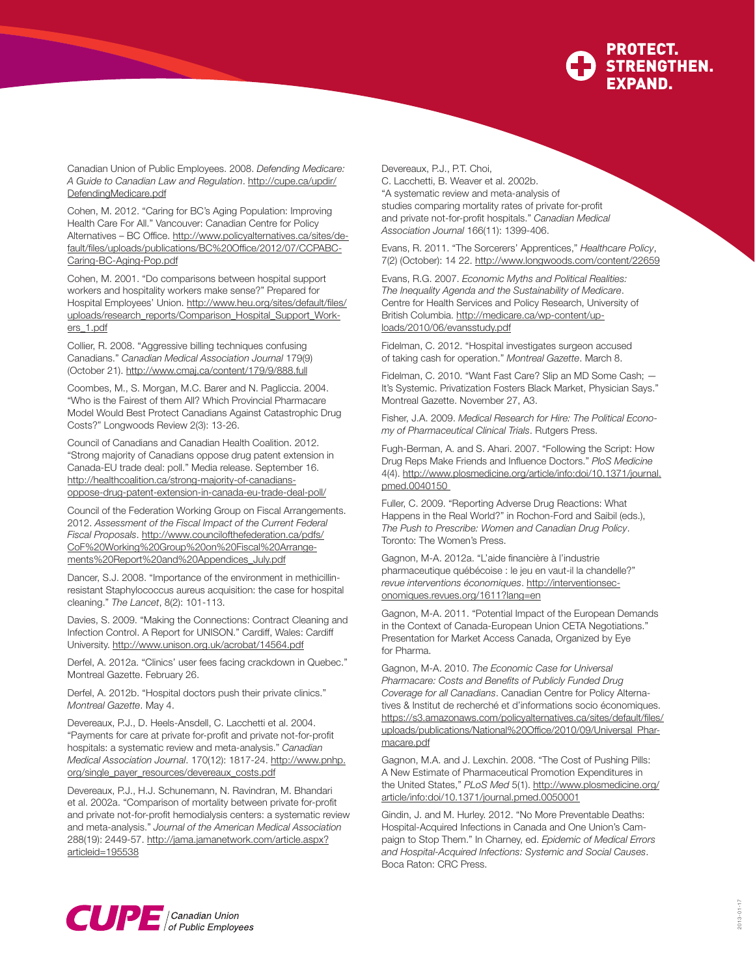

Canadian Union of Public Employees. 2008. *Defending Medicare: A Guide to Canadian Law and Regulation*. [http://cupe.ca/updir/](http://cupe.ca/updir/DefendingMedicare.pdf) [DefendingMedicare.pdf](http://cupe.ca/updir/DefendingMedicare.pdf)

 $\overline{\phantom{0}}$ 

Cohen, M. 2012. "Caring for BC's Aging Population: Improving Health Care For All." Vancouver: Canadian Centre for Policy Alternatives - BC Office. [http://www.policyalternatives.ca/sites/de](http://www.policyalternatives.ca/sites/default/files/uploads/publications/BC%20Office/2012/07/CCPABC-Caring-BC-Aging-Pop.pdf)[fault/files/uploads/publications/BC%20Office/2012/07/CCPABC-](http://www.policyalternatives.ca/sites/default/files/uploads/publications/BC%20Office/2012/07/CCPABC-Caring-BC-Aging-Pop.pdf)[Caring-BC-Aging-Pop.pdf](http://www.policyalternatives.ca/sites/default/files/uploads/publications/BC%20Office/2012/07/CCPABC-Caring-BC-Aging-Pop.pdf)

Cohen, M. 2001. "Do comparisons between hospital support workers and hospitality workers make sense?" Prepared for Hospital Employees' Union. [http://www.heu.org/sites/default/files/](http://www.heu.org/sites/default/files/uploads/research_reports/Comparison_Hospital_Support_Workers_1.pdf) [uploads/research\\_reports/Comparison\\_Hospital\\_Support\\_Work](http://www.heu.org/sites/default/files/uploads/research_reports/Comparison_Hospital_Support_Workers_1.pdf)[ers\\_1.pdf](http://www.heu.org/sites/default/files/uploads/research_reports/Comparison_Hospital_Support_Workers_1.pdf)

Collier, R. 2008. "Aggressive billing techniques confusing Canadians." *Canadian Medical Association Journal* 179(9) (October 21).<http://www.cmaj.ca/content/179/9/888.full>

Coombes, M., S. Morgan, M.C. Barer and N. Pagliccia. 2004. "Who is the Fairest of them All? Which Provincial Pharmacare Model Would Best Protect Canadians Against Catastrophic Drug Costs?" Longwoods Review 2(3): 13-26.

Council of Canadians and Canadian Health Coalition. 2012. "Strong majority of Canadians oppose drug patent extension in Canada-EU trade deal: poll." Media release. September 16. [http://healthcoalition.ca/strong-](http://healthcoalition.ca/strong)majority-of-canadiansoppose-drug-patent-extension-in-canada-eu-trade-deal-poll/

Council of the Federation Working Group on Fiscal Arrangements. 2012. *Assessment of the Fiscal Impact of the Current Federal Fiscal Proposals*. [http://www.councilofthefederation.ca/pdfs/](http://www.councilofthefederation.ca/pdfs/CoF%20Working%20Group%20on%20Fiscal%20Arrangements%20Report%20and%20Appendices_July.pdf) [CoF%20Working%20Group%20on%20Fiscal%20Arrange](http://www.councilofthefederation.ca/pdfs/CoF%20Working%20Group%20on%20Fiscal%20Arrangements%20Report%20and%20Appendices_July.pdf)[ments%20Report%20and%20Appendices\\_July.pdf](http://www.councilofthefederation.ca/pdfs/CoF%20Working%20Group%20on%20Fiscal%20Arrangements%20Report%20and%20Appendices_July.pdf)

Dancer, S.J. 2008. "Importance of the environment in methicillinresistant Staphylococcus aureus acquisition: the case for hospital cleaning." *The Lancet*, 8(2): 101-113.

Davies, S. 2009. "Making the Connections: Contract Cleaning and Infection Control. A Report for UNISON." Cardiff, Wales: Cardiff University.<http://www.unison.org.uk/acrobat/14564.pdf>

Derfel, A. 2012a. "Clinics' user fees facing crackdown in Quebec." Montreal Gazette. February 26.

Derfel, A. 2012b. "Hospital doctors push their private clinics." *Montreal Gazette*. May 4.

Devereaux, P.J., D. Heels-Ansdell, C. Lacchetti et al. 2004. "Payments for care at private for-profit and private not-for-profit hospitals: a systematic review and meta-analysis." *Canadian Medical Association Journal*. 170(12): 1817-24. [http://www.pnhp.](http://www.pnhp.org/single_payer_resources/devereaux_costs.pdf) [org/single\\_payer\\_resources/devereaux\\_costs.pdf](http://www.pnhp.org/single_payer_resources/devereaux_costs.pdf)

Devereaux, P.J., H.J. Schunemann, N. Ravindran, M. Bhandari et al. 2002a. "Comparison of mortality between private for-profit and private not-for-profit hemodialysis centers: a systematic review and meta-analysis." *Journal of the American Medical Association* 288(19): 2449-57.<http://jama.jamanetwork.com/article.aspx>? articleid=195538

Devereaux, P.J., P.T. Choi,

C. Lacchetti, B. Weaver et al. 2002b. "A systematic review and meta-analysis of studies comparing mortality rates of private for-profit and private not-for-profit hospitals." *Canadian Medical Association Journal* 166(11): 1399-406.

Evans, R. 2011. "The Sorcerers' Apprentices," *Healthcare Policy*, 7(2) (October): 14 22. <http://www.longwoods.com/content/22659>

Evans, R.G. 2007. *Economic Myths and Political Realities: The Inequality Agenda and the Sustainability of Medicare*. Centre for Health Services and Policy Research, University of British Columbia. [http://medicare.ca/wp-content/up](http://medicare.ca/wp-content/uploads/2010/06/evansstudy.pdf)[loads/2010/06/evansstudy.pdf](http://medicare.ca/wp-content/uploads/2010/06/evansstudy.pdf)

Fidelman, C. 2012. "Hospital investigates surgeon accused of taking cash for operation." *Montreal Gazette*. March 8.

Fidelman, C. 2010. "Want Fast Care? Slip an MD Some Cash; — It's Systemic. Privatization Fosters Black Market, Physician Says." Montreal Gazette. November 27, A3.

Fisher, J.A. 2009. *Medical Research for Hire: The Political Economy of Pharmaceutical Clinical Trials*. Rutgers Press.

Fugh-Berman, A. and S. Ahari. 2007. "Following the Script: How Drug Reps Make Friends and Influence Doctors." *PloS Medicine* 4(4). <http://www.plosmedicine.org/article/info>:doi/10.1371/journal. pmed.0040150

Fuller, C. 2009. "Reporting Adverse Drug Reactions: What Happens in the Real World?" in Rochon-Ford and Saibil (eds.), *The Push to Prescribe: Women and Canadian Drug Policy*. Toronto: The Women's Press.

Gagnon, M-A. 2012a. "L'aide financière à l'industrie pharmaceutique québécoise : le jeu en vaut-il la chandelle?" *revue interventions économiques*. [http://interventionsec](http://interventionseconomiques.revues.org/1611?lang=en)[onomiques.revues.org/1611?lang=en](http://interventionseconomiques.revues.org/1611?lang=en)

Gagnon, M-A. 2011. "Potential Impact of the European Demands in the Context of Canada-European Union CETA Negotiations." Presentation for Market Access Canada, Organized by Eye for Pharma.

Gagnon, M-A. 2010. *The Economic Case for Universal Pharmacare: Costs and Benefits of Publicly Funded Drug Coverage for all Canadians*. Canadian Centre for Policy Alternatives & Institut de recherché et d'informations socio économiques. [https://s3.amazonaws.com/policyalternatives.ca/sites/default/files/](https://s3.amazonaws.com/policyalternatives.ca/sites/default/files/uploads/publications/National%20Office/2010/09/Universal_Pharmacare.pdf) [uploads/publications/National%20Office/2010/09/Universal\\_Phar](https://s3.amazonaws.com/policyalternatives.ca/sites/default/files/uploads/publications/National%20Office/2010/09/Universal_Pharmacare.pdf)[macare.pdf](https://s3.amazonaws.com/policyalternatives.ca/sites/default/files/uploads/publications/National%20Office/2010/09/Universal_Pharmacare.pdf)

Gagnon, M.A. and J. Lexchin. 2008. "The Cost of Pushing Pills: A New Estimate of Pharmaceutical Promotion Expenditures in the United States," *PLoS Med* 5(1). [http://www.plosmedicine.org/](http://www.plosmedicine.org/article/info) [article/info:](http://www.plosmedicine.org/article/info)doi/10.1371/journal.pmed.0050001

Gindin, J. and M. Hurley. 2012. "No More Preventable Deaths: Hospital-Acquired Infections in Canada and One Union's Campaign to Stop Them." In Charney, ed. *Epidemic of Medical Errors and Hospital-Acquired Infections: Systemic and Social Causes*. Boca Raton: CRC Press.

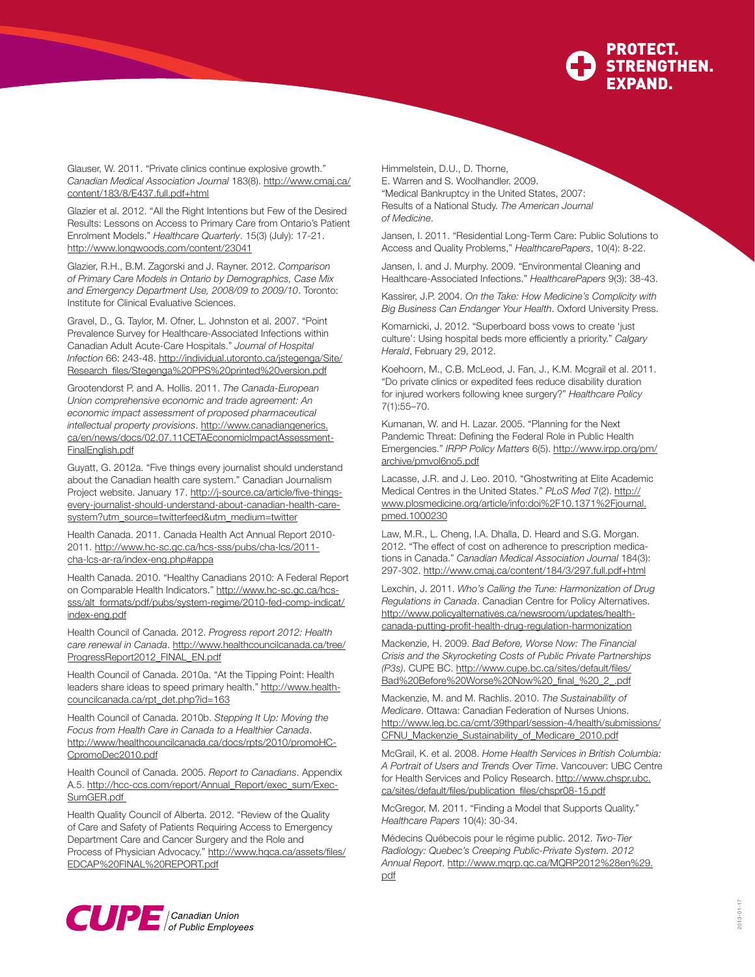

Glauser, W. 2011. "Private clinics continue explosive growth." *Canadian Medical Association Journal* 183(8). [http://www.cmaj.ca/](http://www.cmaj.ca/content/183/8/E437.full.pdf) [content/183/8/E437.full.pdf+](http://www.cmaj.ca/content/183/8/E437.full.pdf)html

Glazier et al. 2012. "All the Right Intentions but Few of the Desired Results: Lessons on Access to Primary Care from Ontario's Patient Enrolment Models." *Healthcare Quarterly*. 15(3) (July): 17-21. <http://www.longwoods.com/content/23041>

Glazier, R.H., B.M. Zagorski and J. Rayner. 2012. *Comparison of Primary Care Models in Ontario by Demographics, Case Mix and Emergency Department Use, 2008/09 to 2009/10*. Toronto: Institute for Clinical Evaluative Sciences.

Gravel, D., G. Taylor, M. Ofner, L. Johnston et al. 2007. "Point Prevalence Survey for Healthcare-Associated Infections within Canadian Adult Acute-Care Hospitals." *Journal of Hospital Infection* 66: 243-48. [http://individual.utoronto.ca/jstegenga/Site/](http://individual.utoronto.ca/jstegenga/Site/Research_files/Stegenga) [Research\\_files/Stegenga%](http://individual.utoronto.ca/jstegenga/Site/Research_files/Stegenga)20PPS%20printed%20version.pdf

Grootendorst P. and A. Hollis. 2011. *The Canada-European Union comprehensive economic and trade agreement: An economic impact assessment of proposed pharmaceutical intellectual property provisions*. [http://www.canadiangenerics.](http://www.canadiangenerics.ca/en/news/docs/02.07.11CETAEconomicImpactAssessment-FinalEnglish.pdf) [ca/en/news/docs/02.07.11CETAEconomicImpactAssessment-](http://www.canadiangenerics.ca/en/news/docs/02.07.11CETAEconomicImpactAssessment-FinalEnglish.pdf)[FinalEnglish.pdf](http://www.canadiangenerics.ca/en/news/docs/02.07.11CETAEconomicImpactAssessment-FinalEnglish.pdf)

Guyatt, G. 2012a. "Five things every journalist should understand about the Canadian health care system." Canadian Journalism Project website. January 17. <http://j-source.ca/article/five>-thingsevery-journalist-should-understand-about-canadian-health-caresystem?utm\_source=twitterfeed&utm\_medium=twitter

Health Canada. 2011. Canada Health Act Annual Report 2010- 2011. <http://www.hc-sc.gc.ca/hcs-sss/pubs/cha-lcs/2011> cha-lcs-ar-ra/index-eng.php#appa

Health Canada. 2010. "Healthy Canadians 2010: A Federal Report on Comparable Health Indicators." [http://www.hc-sc.gc.ca/hcs](http://www.hc-sc.gc.ca/hcs-sss/alt_formats/pdf/pubs/system-regime/2010-fed-comp-indicat/index-eng.pdf)[sss/alt\\_formats/pdf/pubs/system-regime/2010-fed-comp-indicat/](http://www.hc-sc.gc.ca/hcs-sss/alt_formats/pdf/pubs/system-regime/2010-fed-comp-indicat/index-eng.pdf) [index-eng.pdf](http://www.hc-sc.gc.ca/hcs-sss/alt_formats/pdf/pubs/system-regime/2010-fed-comp-indicat/index-eng.pdf)

Health Council of Canada. 2012. *Progress report 2012: Health care renewal in Canada*. [http://www.healthcouncilcanada.ca/tree/](http://www.healthcouncilcanada.ca/tree/ProgressReport2012_FINAL_EN.pdf) [ProgressReport2012\\_FINAL\\_EN.pdf](http://www.healthcouncilcanada.ca/tree/ProgressReport2012_FINAL_EN.pdf)

Health Council of Canada. 2010a. "At the Tipping Point: Health leaders share ideas to speed primary health." [http://www.health](http://www.healthcouncilcanada.ca/rpt_det.php?id=163)[councilcanada.ca/rpt\\_det.php?id=163](http://www.healthcouncilcanada.ca/rpt_det.php?id=163)

Health Council of Canada. 2010b. *Stepping It Up: Moving the Focus from Health Care in Canada to a Healthier Canada*. [http://www/healthcouncilcanada.ca/docs/rpts/2010/promoHC-](http://www/healthcouncilcanada.ca/docs/rpts/2010/promoHCCpromoDec2010.pdf)[CpromoDec2010.pdf](http://www/healthcouncilcanada.ca/docs/rpts/2010/promoHCCpromoDec2010.pdf)

Health Council of Canada. 2005. *Report to Canadians*. Appendix A.5. [http://hcc-ccs.com/report/Annual\\_Report/exec\\_sum/Exec-](http://hcc-ccs.com/report/Annual_Report/exec_sum/ExecSumGER.pdf)[SumGER.pdf](http://hcc-ccs.com/report/Annual_Report/exec_sum/ExecSumGER.pdf)

Health Quality Council of Alberta. 2012. "Review of the Quality of Care and Safety of Patients Requiring Access to Emergency Department Care and Cancer Surgery and the Role and Process of Physician Advocacy." [http://www.hqca.ca/assets/files/](http://www.hqca.ca/assets/files/EDCAP%20FINAL%20REPORT.pdf) [EDCAP%20FINAL%20REPORT.pdf](http://www.hqca.ca/assets/files/EDCAP%20FINAL%20REPORT.pdf)

Himmelstein, D.U., D. Thorne, E. Warren and S. Woolhandler. 2009. "Medical Bankruptcy in the United States, 2007: Results of a National Study. *The American Journal of Medicine*.

Jansen, I. 2011. "Residential Long-Term Care: Public Solutions to Access and Quality Problems," *HealthcarePapers*, 10(4): 8-22.

Jansen, I. and J. Murphy. 2009. "Environmental Cleaning and Healthcare-Associated Infections." *HealthcarePapers* 9(3): 38-43.

Kassirer, J.P. 2004. *On the Take: How Medicine's Complicity with Big Business Can Endanger Your Health*. Oxford University Press.

Komarnicki, J. 2012. "Superboard boss vows to create 'just culture': Using hospital beds more efficiently a priority." *Calgary Herald*, February 29, 2012.

Koehoorn, M., C.B. McLeod, J. Fan, J., K.M. Mcgrail et al. 2011. "Do private clinics or expedited fees reduce disability duration for injured workers following knee surgery?" *Healthcare Policy* 7(1):55–70.

Kumanan, W. and H. Lazar. 2005. "Planning for the Next Pandemic Threat: Defining the Federal Role in Public Health Emergencies." *IRPP Policy Matters* 6(5). [http://www.irpp.org/pm/](http://www.irpp.org/pm/archive/pmvol6no5.pdf) [archive/pmvol6no5.pdf](http://www.irpp.org/pm/archive/pmvol6no5.pdf)

Lacasse, J.R. and J. Leo. 2010. "Ghostwriting at Elite Academic Medical Centres in the United States." *PLoS Med* 7(2). [http://](http://www.plosmedicine.org/article/info) [www.plosmedicine.org/article/info](http://www.plosmedicine.org/article/info):doi%2F10.1371%2Fjournal. pmed.1000230

Law, M.R., L. Cheng, I.A. Dhalla, D. Heard and S.G. Morgan. 2012. "The effect of cost on adherence to prescription medications in Canada." *Canadian Medical Association Journal* 184(3): 297-302. <http://www.cmaj.ca/content/184/3/297.full.pdf>+html

Lexchin, J. 2011. *Who's Calling the Tune: Harmonization of Drug Regulations in Canada*. Canadian Centre for Policy Alternatives. <http://www.policyalternatives.ca/newsroom/updates/health>canada-putting-profit-health-drug-regulation-harmonization

Mackenzie, H. 2009. *Bad Before, Worse Now: The Financial Crisis and the Skyrocketing Costs of Public Private Partnerships (P3s)*. CUPE BC. [http://www.cupe.bc.ca/sites/default/files/](http://www.cupe.bc.ca/sites/default/files/Bad) [Bad%](http://www.cupe.bc.ca/sites/default/files/Bad)20Before%20Worse%20Now%20\_final\_%20\_2\_.pdf

Mackenzie, M. and M. Rachlis. 2010. *The Sustainability of Medicare*. Ottawa: Canadian Federation of Nurses Unions. [http://www.leg.bc.ca/cmt/39thparl/session-4/health/submissions/](http://www.leg.bc.ca/cmt/39thparl/session-4/health/submissions/CFNU_Mackenzie_Sustainability_of_Medicare_2010.pdf) [CFNU\\_Mackenzie\\_Sustainability\\_of\\_Medicare\\_2010.pdf](http://www.leg.bc.ca/cmt/39thparl/session-4/health/submissions/CFNU_Mackenzie_Sustainability_of_Medicare_2010.pdf)

McGrail, K. et al. 2008. *Home Health Services in British Columbia: A Portrait of Users and Trends Over Time*. Vancouver: UBC Centre for Health Services and Policy Research. [http://www.chspr.ubc.](http://www.chspr.ubc.ca/sites/default/files/publication_files/chspr08-15.pdf) [ca/sites/default/files/publication\\_files/chspr08-15.pdf](http://www.chspr.ubc.ca/sites/default/files/publication_files/chspr08-15.pdf)

McGregor, M. 2011. "Finding a Model that Supports Quality." *Healthcare Papers* 10(4): 30-34.

Médecins Québecois pour le régime public. 2012. *Two-Tier Radiology: Quebec's Creeping Public-Private System. 2012 Annual Report*. [http://www.mqrp.qc.ca/MQRP2012%28en%29.](http://www.mqrp.qc.ca/MQRP2012%28en%29.pdf) [pdf](http://www.mqrp.qc.ca/MQRP2012%28en%29.pdf)

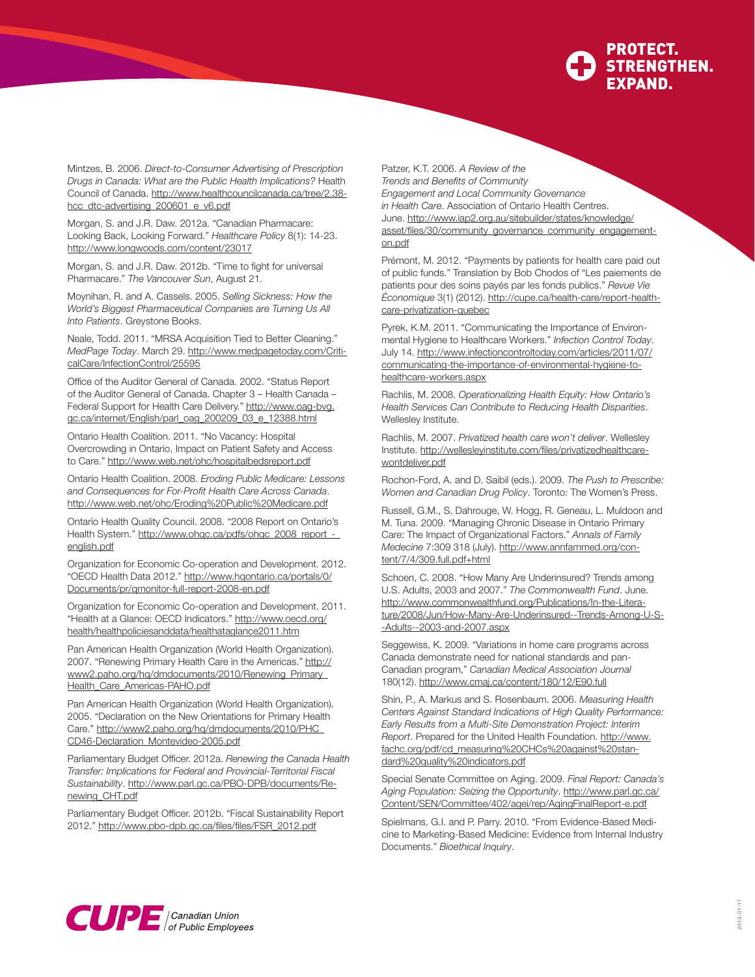

Mintzes, B. 2006. *Direct-to-Consumer Advertising of Prescription Drugs in Canada: What are the Public Health Implications?* Health Council of Canada. [http://www.healthcouncilcanada.ca/tree/2.38](http://www.healthcouncilcanada.ca/tree/2.38-hcc_dtc-advertising_200601_e_v6.pdf) [hcc\\_dtc-advertising\\_200601\\_e\\_v6.pdf](http://www.healthcouncilcanada.ca/tree/2.38-hcc_dtc-advertising_200601_e_v6.pdf)

 $\overline{\phantom{0}}$ 

Morgan, S. and J.R. Daw. 2012a. "Canadian Pharmacare: Looking Back, Looking Forward." *Healthcare Policy* 8(1): 14-23. <http://www.longwoods.com/content/23017>

Morgan, S. and J.R. Daw. 2012b. "Time to fight for universal Pharmacare." *The Vancouver Sun*, August 21.

Moynihan, R. and A. Cassels. 2005. *Selling Sickness: How the World's Biggest Pharmaceutical Companies are Turning Us All Into Patients*. Greystone Books.

Neale, Todd. 2011. "MRSA Acquisition Tied to Better Cleaning." *MedPage Today*. March 29. [http://www.medpagetoday.com/Criti](http://www.medpagetoday.com/CriticalCare/InfectionControl/25595)[calCare/InfectionControl/25595](http://www.medpagetoday.com/CriticalCare/InfectionControl/25595)

Office of the Auditor General of Canada. 2002. "Status Report of the Auditor General of Canada. Chapter 3 – Health Canada – Federal Support for Health Care Delivery." [http://www.oag-bvg.](http://www.oag-bvg.gc.ca/internet/English/parl_oag_200209_03_e_12388.html) [gc.ca/internet/English/parl\\_oag\\_200209\\_03\\_e\\_12388.html](http://www.oag-bvg.gc.ca/internet/English/parl_oag_200209_03_e_12388.html)

Ontario Health Coalition. 2011. "No Vacancy: Hospital Overcrowding in Ontario, Impact on Patient Safety and Access to Care."<http://www.web.net/ohc/hospitalbedsreport.pdf>

Ontario Health Coalition. 2008. *Eroding Public Medicare: Lessons and Consequences for For-Profit Health Care Across Canada*. [http://www.web.net/ohc/Eroding%](http://www.web.net/ohc/Eroding)20Public%20Medicare.pdf

Ontario Health Quality Council. 2008. "2008 Report on Ontario's Health System." http://www.ohgc.ca/pdfs/ohgc\_2008\_report\_[english.pdf](http://www.ohqc.ca/pdfs/ohqc_2008_report_-_english.pdf)

Organization for Economic Co-operation and Development. 2012. "OECD Health Data 2012." [http://www.hqontario.ca/portals/0/](http://www.hqontario.ca/portals/0/Documents/pr/qmonitor-full-report-2008-en.pdf) [Documents/pr/qmonitor-full-report-2008-en.pdf](http://www.hqontario.ca/portals/0/Documents/pr/qmonitor-full-report-2008-en.pdf)

Organization for Economic Co-operation and Development. 2011. "Health at a Glance: OECD Indicators." [http://www.oecd.org/](http://www.oecd.org/health/healthpoliciesanddata/healthataglance2011.htm) [health/healthpoliciesanddata/healthataglance2011.htm](http://www.oecd.org/health/healthpoliciesanddata/healthataglance2011.htm)

Pan American Health Organization (World Health Organization). 2007. "Renewing Primary Health Care in the Americas." [http://](http://www2.paho.org/hq/dmdocuments/2010/Renewing_Primary_Health_Care_Americas-PAHO.pdf) [www2.paho.org/hq/dmdocuments/2010/Renewing\\_Primary\\_](http://www2.paho.org/hq/dmdocuments/2010/Renewing_Primary_Health_Care_Americas-PAHO.pdf) [Health\\_Care\\_Americas-PAHO.pdf](http://www2.paho.org/hq/dmdocuments/2010/Renewing_Primary_Health_Care_Americas-PAHO.pdf)

Pan American Health Organization (World Health Organization). 2005. "Declaration on the New Orientations for Primary Health Care." [http://www2.paho.org/hq/dmdocuments/2010/PHC\\_](http://www2.paho.org/hq/dmdocuments/2010/PHC_CD46-Declaration_Montevideo-2005.pdf) [CD46-Declaration\\_Montevideo-2005.pdf](http://www2.paho.org/hq/dmdocuments/2010/PHC_CD46-Declaration_Montevideo-2005.pdf)

Parliamentary Budget Officer. 2012a. *Renewing the Canada Health Transfer: Implications for Federal and Provincial-Territorial Fiscal Sustainability*. [http://www.parl.gc.ca/PBO-DPB/documents/Re](http://www.parl.gc.ca/PBO-DPB/documents/Renewing_CHT.pdf)[newing\\_CHT.pdf](http://www.parl.gc.ca/PBO-DPB/documents/Renewing_CHT.pdf)

Parliamentary Budget Officer. 2012b. "Fiscal Sustainability Report 2012." [http://www.pbo-dpb.gc.ca/files/files/FSR\\_2012.pdf](http://www.pbo-dpb.gc.ca/files/files/FSR_2012.pdf)

Patzer, K.T. 2006. *A Review of the Trends and Benefits of Community* 

*Engagement and Local Community Governance* 

*in Health Care*. Association of Ontario Health Centres. June. [http://www.iap2.org.au/sitebuilder/states/knowledge/](http://www.iap2.org.au/sitebuilder/states/knowledge/asset/files/30/community_governance_community_engagement-on.pdf) [asset/files/30/community\\_governance\\_community\\_engagement](http://www.iap2.org.au/sitebuilder/states/knowledge/asset/files/30/community_governance_community_engagement-on.pdf)[on.pdf](http://www.iap2.org.au/sitebuilder/states/knowledge/asset/files/30/community_governance_community_engagement-on.pdf)

Prémont, M. 2012. "Payments by patients for health care paid out of public funds." Translation by Bob Chodos of "Les paiements de patients pour des soins payés par les fonds publics." *Revue Vie Économique* 3(1) (2012).<http://cupe.ca/health-care/report>-healthcare-privatization-quebec

Pyrek, K.M. 2011. "Communicating the Importance of Environmental Hygiene to Healthcare Workers." *Infection Control Today*. July 14. [http://www.infectioncontroltoday.com/articles/2011/07/](http://www.infectioncontroltoday.com/articles/2011/07/communicating-the-importance-of-environmental-hygiene-to-healthcare-workers.aspx) [communicating-the-importance-of-environmental-hygiene-to](http://www.infectioncontroltoday.com/articles/2011/07/communicating-the-importance-of-environmental-hygiene-to-healthcare-workers.aspx)[healthcare-workers.aspx](http://www.infectioncontroltoday.com/articles/2011/07/communicating-the-importance-of-environmental-hygiene-to-healthcare-workers.aspx)

Rachlis, M. 2008. *Operationalizing Health Equity: How Ontario's Health Services Can Contribute to Reducing Health Disparities*. Wellesley Institute.

Rachlis, M. 2007. *Privatized health care won't deliver*. Wellesley Institute. [http://wellesleyinstitute.com/files/privatizedhealthcare](http://wellesleyinstitute.com/files/privatizedhealthcarewontdeliver.pdf)[wontdeliver.pdf](http://wellesleyinstitute.com/files/privatizedhealthcarewontdeliver.pdf)

Rochon-Ford, A. and D. Saibil (eds.). 2009. *The Push to Prescribe: Women and Canadian Drug Policy*. Toronto: The Women's Press.

Russell, G.M., S. Dahrouge, W. Hogg, R. Geneau, L. Muldoon and M. Tuna. 2009. "Managing Chronic Disease in Ontario Primary Care: The Impact of Organizational Factors." *Annals of Family Medecine* 7:309 318 (July). [http://www.annfammed.org/con](http://www.annfammed.org/content/7/4/309.full.pdf+html)[tent/7/4/309.full.pdf+html](http://www.annfammed.org/content/7/4/309.full.pdf+html)

Schoen, C. 2008. "How Many Are Underinsured? Trends among U.S. Adults, 2003 and 2007." *The Commonwealth Fund*. June. [http://www.commonwealthfund.org/Publications/In-the-Litera](http://www.commonwealthfund.org/Publications/In-the-Literature/2008/Jun/How-Many-Are-Underinsured--Trends-Among-U-S--Adults--2003-and-2007.aspx)[ture/2008/Jun/How-Many-Are-Underinsured--Trends-Among-U-S-](http://www.commonwealthfund.org/Publications/In-the-Literature/2008/Jun/How-Many-Are-Underinsured--Trends-Among-U-S--Adults--2003-and-2007.aspx) [-Adults--2003-and-2007.aspx](http://www.commonwealthfund.org/Publications/In-the-Literature/2008/Jun/How-Many-Are-Underinsured--Trends-Among-U-S--Adults--2003-and-2007.aspx)

Seggewiss, K. 2009. "Variations in home care programs across Canada demonstrate need for national standards and pan-Canadian program," *Canadian Medical Association Journal*  180(12).<http://www.cmaj.ca/content/180/12/E90.full>

Shin, P., A. Markus and S. Rosenbaum. 2006. *Measuring Health Centers Against Standard Indications of High Quality Performance: Early Results from a Multi-Site Demonstration Project: Interim Report*. Prepared for the United Health Foundation. [http://www.](http://www.fachc.org/pdf/cd_measuring%20CHCs%20against%20standard%20quality%20indicators.pdf) [fachc.org/pdf/cd\\_measuring%20CHCs%20against%20stan](http://www.fachc.org/pdf/cd_measuring%20CHCs%20against%20standard%20quality%20indicators.pdf)[dard%20quality%20indicators.pdf](http://www.fachc.org/pdf/cd_measuring%20CHCs%20against%20standard%20quality%20indicators.pdf)

Special Senate Committee on Aging. 2009. *Final Report: Canada's Aging Population: Seizing the Opportunity*. [http://www.parl.gc.ca/](http://www.parl.gc.ca/Content/SEN/Committee/402/agei/rep/AgingFinalReport-e.pdf) [Content/SEN/Committee/402/agei/rep/AgingFinalReport-e.pdf](http://www.parl.gc.ca/Content/SEN/Committee/402/agei/rep/AgingFinalReport-e.pdf)

Spielmans, G.I. and P. Parry. 2010. "From Evidence-Based Medicine to Marketing-Based Medicine: Evidence from Internal Industry Documents." *Bioethical Inquiry*.